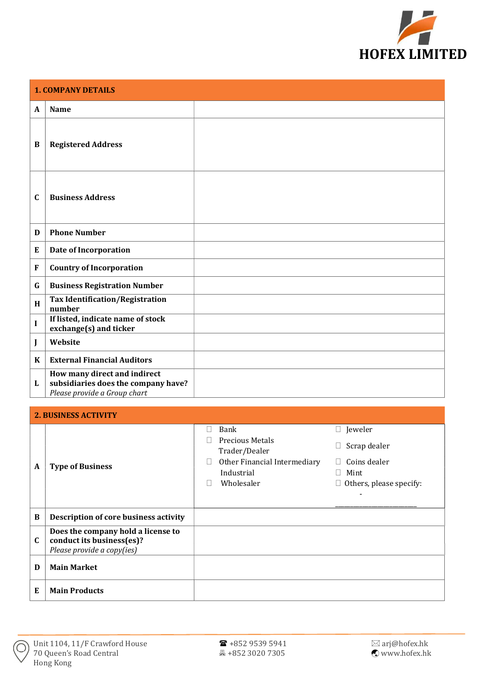

|              | <b>1. COMPANY DETAILS</b>                                                                           |  |  |  |
|--------------|-----------------------------------------------------------------------------------------------------|--|--|--|
| A            | <b>Name</b>                                                                                         |  |  |  |
| B            | <b>Registered Address</b>                                                                           |  |  |  |
| C            | <b>Business Address</b>                                                                             |  |  |  |
| D            | <b>Phone Number</b>                                                                                 |  |  |  |
| E            | <b>Date of Incorporation</b>                                                                        |  |  |  |
| ${\bf F}$    | <b>Country of Incorporation</b>                                                                     |  |  |  |
| G            | <b>Business Registration Number</b>                                                                 |  |  |  |
| H            | <b>Tax Identification/Registration</b><br>number                                                    |  |  |  |
| $\mathbf I$  | If listed, indicate name of stock<br>exchange(s) and ticker                                         |  |  |  |
| J            | Website                                                                                             |  |  |  |
| K            | <b>External Financial Auditors</b>                                                                  |  |  |  |
| $\mathbf{L}$ | How many direct and indirect<br>subsidiaries does the company have?<br>Please provide a Group chart |  |  |  |

|   | <b>2. BUSINESS ACTIVITY</b>                                                                   |                                                                                                                                      |                                                                                   |
|---|-----------------------------------------------------------------------------------------------|--------------------------------------------------------------------------------------------------------------------------------------|-----------------------------------------------------------------------------------|
| A | <b>Type of Business</b>                                                                       | Bank<br>Н<br><b>Precious Metals</b><br>Trader/Dealer<br>Other Financial Intermediary<br>$\Box$<br>Industrial<br>Wholesaler<br>$\Box$ | Jeweler<br>Scrap dealer<br>Coins dealer<br>Mint<br>$\Box$ Others, please specify: |
| B | Description of core business activity                                                         |                                                                                                                                      |                                                                                   |
| C | Does the company hold a license to<br>conduct its business(es)?<br>Please provide a copy(ies) |                                                                                                                                      |                                                                                   |
| D | <b>Main Market</b>                                                                            |                                                                                                                                      |                                                                                   |
| E | <b>Main Products</b>                                                                          |                                                                                                                                      |                                                                                   |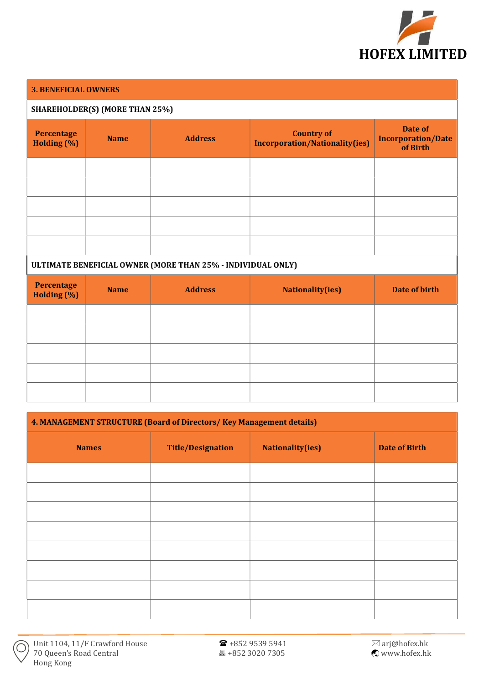

### 3. BENEFICIAL OWNERS

# SHAREHOLDER(S) (MORE THAN 25%)

| <b>Name</b> | <b>Address</b> | <b>Country of</b><br><b>Incorporation/Nationality(ies)</b> | Date of<br><b>Incorporation/Date</b><br>of Birth |
|-------------|----------------|------------------------------------------------------------|--------------------------------------------------|
|             |                |                                                            |                                                  |
|             |                |                                                            |                                                  |
|             |                |                                                            |                                                  |
|             |                |                                                            |                                                  |
|             |                |                                                            |                                                  |
|             |                |                                                            |                                                  |

## ULTIMATE BENEFICIAL OWNER (MORE THAN 25% - INDIVIDUAL ONLY)

| Percentage<br>Holding (%) | <b>Name</b> | <b>Address</b> | <b>Nationality(ies)</b> | Date of birth |
|---------------------------|-------------|----------------|-------------------------|---------------|
|                           |             |                |                         |               |
|                           |             |                |                         |               |
|                           |             |                |                         |               |
|                           |             |                |                         |               |
|                           |             |                |                         |               |

| 4. MANAGEMENT STRUCTURE (Board of Directors/ Key Management details) |                          |                         |                      |  |
|----------------------------------------------------------------------|--------------------------|-------------------------|----------------------|--|
| <b>Names</b>                                                         | <b>Title/Designation</b> | <b>Nationality(ies)</b> | <b>Date of Birth</b> |  |
|                                                                      |                          |                         |                      |  |
|                                                                      |                          |                         |                      |  |
|                                                                      |                          |                         |                      |  |
|                                                                      |                          |                         |                      |  |
|                                                                      |                          |                         |                      |  |
|                                                                      |                          |                         |                      |  |
|                                                                      |                          |                         |                      |  |
|                                                                      |                          |                         |                      |  |

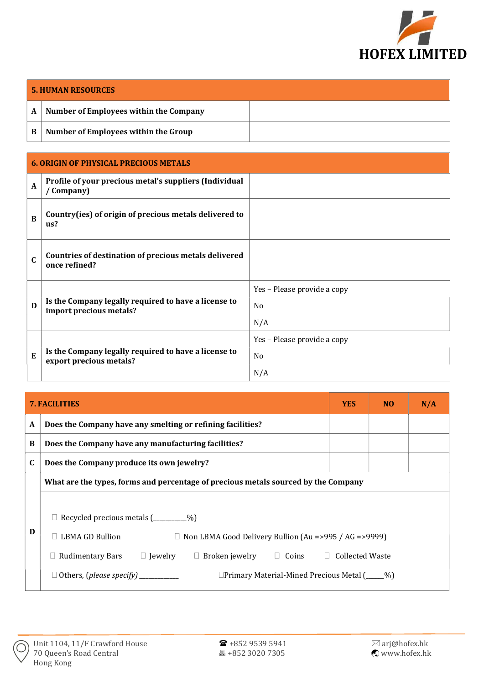

|              | <b>5. HUMAN RESOURCES</b>              |  |  |
|--------------|----------------------------------------|--|--|
| $\mathbf{A}$ | Number of Employees within the Company |  |  |
| B            | Number of Employees within the Group   |  |  |

|              | <b>6. ORIGIN OF PHYSICAL PRECIOUS METALS</b>                                       |                             |  |
|--------------|------------------------------------------------------------------------------------|-----------------------------|--|
| $\mathbf{A}$ | Profile of your precious metal's suppliers (Individual<br>/ Company)               |                             |  |
| <sub>B</sub> | Country(ies) of origin of precious metals delivered to<br>$\mathbf{u}\mathbf{s}$ ? |                             |  |
| $\mathbf{C}$ | Countries of destination of precious metals delivered<br>once refined?             |                             |  |
|              |                                                                                    | Yes - Please provide a copy |  |
| $\mathbf D$  | Is the Company legally required to have a license to<br>import precious metals?    | No                          |  |
|              |                                                                                    | N/A                         |  |
|              |                                                                                    | Yes - Please provide a copy |  |
| E            | Is the Company legally required to have a license to<br>export precious metals?    | No                          |  |
|              |                                                                                    | N/A                         |  |

|              | <b>7. FACILITIES</b>                                                                                                                                                                                                                                                                                             | <b>YES</b> | N <sub>O</sub> | N/A |
|--------------|------------------------------------------------------------------------------------------------------------------------------------------------------------------------------------------------------------------------------------------------------------------------------------------------------------------|------------|----------------|-----|
| $\mathbf{A}$ | Does the Company have any smelting or refining facilities?                                                                                                                                                                                                                                                       |            |                |     |
| B            | Does the Company have any manufacturing facilities?                                                                                                                                                                                                                                                              |            |                |     |
| C            | Does the Company produce its own jewelry?                                                                                                                                                                                                                                                                        |            |                |     |
|              | What are the types, forms and percentage of precious metals sourced by the Company                                                                                                                                                                                                                               |            |                |     |
| D            | $\Box$ Recycled precious metals $(\_\_\_\_\_\_ \%)$<br>$\Box$ LBMA GD Bullion<br>$\Box$ Non LBMA Good Delivery Bullion (Au =>995 / AG =>9999)<br>$\Box$ Rudimentary Bars $\Box$ Jewelry $\Box$ Broken jewelry $\Box$ Coins $\Box$ Collected Waste<br>$\Box$ Primary Material-Mined Precious Metal ( $\_\_\_\%$ ) |            |                |     |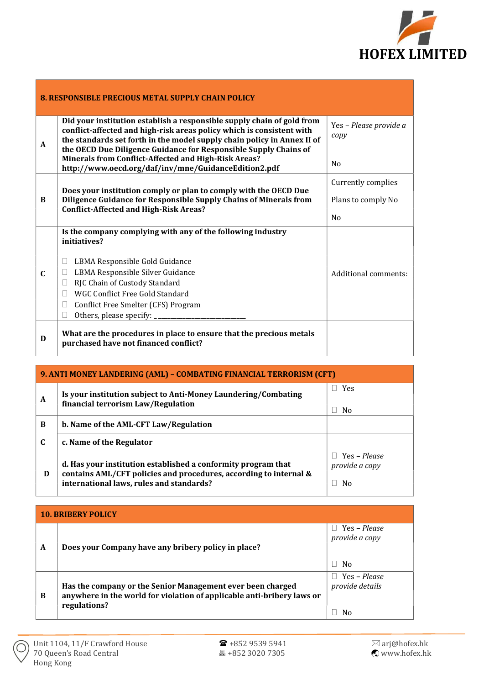

|              | <b>8. RESPONSIBLE PRECIOUS METAL SUPPLY CHAIN POLICY</b>                                                                                                                                                                                                                                                                                                                                                       |                                                            |  |  |
|--------------|----------------------------------------------------------------------------------------------------------------------------------------------------------------------------------------------------------------------------------------------------------------------------------------------------------------------------------------------------------------------------------------------------------------|------------------------------------------------------------|--|--|
| A            | Did your institution establish a responsible supply chain of gold from<br>conflict-affected and high-risk areas policy which is consistent with<br>the standards set forth in the model supply chain policy in Annex II of<br>the OECD Due Diligence Guidance for Responsible Supply Chains of<br>Minerals from Conflict-Affected and High-Risk Areas?<br>http://www.oecd.org/daf/inv/mne/GuidanceEdition2.pdf | Yes - Please provide a<br>copy<br>N <sub>0</sub>           |  |  |
| B            | Does your institution comply or plan to comply with the OECD Due<br>Diligence Guidance for Responsible Supply Chains of Minerals from<br><b>Conflict-Affected and High-Risk Areas?</b>                                                                                                                                                                                                                         | Currently complies<br>Plans to comply No<br>N <sub>0</sub> |  |  |
| $\mathbf{C}$ | Is the company complying with any of the following industry<br>initiatives?<br>LBMA Responsible Gold Guidance<br>LBMA Responsible Silver Guidance<br>$\Box$<br>RJC Chain of Custody Standard<br>П<br>WGC Conflict Free Gold Standard<br>П<br>Conflict Free Smelter (CFS) Program<br>$\Box$<br>Others, please specify: _________                                                                                | Additional comments:                                       |  |  |
| D            | What are the procedures in place to ensure that the precious metals<br>purchased have not financed conflict?                                                                                                                                                                                                                                                                                                   |                                                            |  |  |

|   | 9. ANTI MONEY LANDERING (AML) - COMBATING FINANCIAL TERRORISM (CFT)                                                                                                            |                                                         |  |  |
|---|--------------------------------------------------------------------------------------------------------------------------------------------------------------------------------|---------------------------------------------------------|--|--|
| A | Is your institution subject to Anti-Money Laundering/Combating<br>financial terrorism Law/Regulation                                                                           | Yes<br>N <sub>0</sub>                                   |  |  |
| B | b. Name of the AML-CFT Law/Regulation                                                                                                                                          |                                                         |  |  |
| C | c. Name of the Regulator                                                                                                                                                       |                                                         |  |  |
| D | d. Has your institution established a conformity program that<br>contains AML/CFT policies and procedures, according to internal &<br>international laws, rules and standards? | $\Box$ Yes – Please<br>provide a copy<br>N <sub>0</sub> |  |  |

|   | <b>10. BRIBERY POLICY</b>                                                                                                                            |                                        |  |  |
|---|------------------------------------------------------------------------------------------------------------------------------------------------------|----------------------------------------|--|--|
| A | Does your Company have any bribery policy in place?                                                                                                  | $\Box$ Yes – Please<br>provide a copy  |  |  |
|   |                                                                                                                                                      | N <sub>0</sub>                         |  |  |
| B | Has the company or the Senior Management ever been charged<br>anywhere in the world for violation of applicable anti-bribery laws or<br>regulations? | $\Box$ Yes – Please<br>provide details |  |  |
|   |                                                                                                                                                      | N٥                                     |  |  |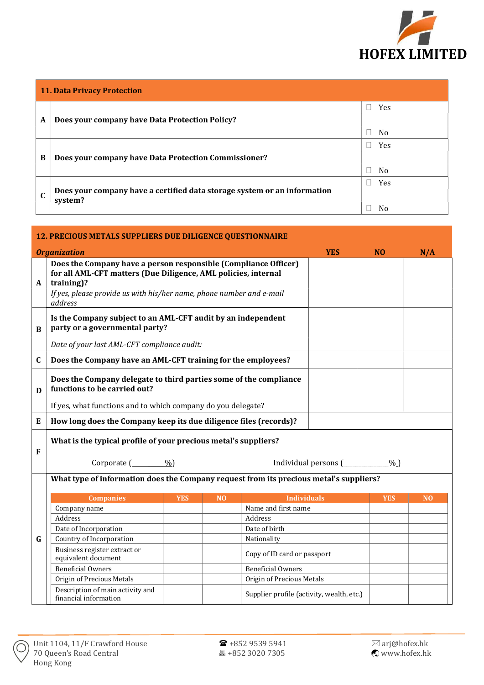

|   | <b>11. Data Privacy Protection</b>                                       |  |                |  |
|---|--------------------------------------------------------------------------|--|----------------|--|
|   |                                                                          |  | Yes            |  |
| A | Does your company have Data Protection Policy?                           |  | No.            |  |
|   |                                                                          |  | Yes            |  |
| B | Does your company have Data Protection Commissioner?                     |  |                |  |
|   |                                                                          |  | N <sub>0</sub> |  |
|   | Does your company have a certified data storage system or an information |  | Yes            |  |
|   | system?                                                                  |  |                |  |
|   |                                                                          |  | N <sub>0</sub> |  |

| <b>12. PRECIOUS METALS SUPPLIERS DUE DILIGENCE QUESTIONNAIRE</b> |                                                                                                                                                                                                                                    |                                                                   |                                           |                             |  |            |                |
|------------------------------------------------------------------|------------------------------------------------------------------------------------------------------------------------------------------------------------------------------------------------------------------------------------|-------------------------------------------------------------------|-------------------------------------------|-----------------------------|--|------------|----------------|
|                                                                  | <b>Organization</b>                                                                                                                                                                                                                | <b>YES</b>                                                        | N <sub>O</sub>                            | N/A                         |  |            |                |
| A                                                                | Does the Company have a person responsible (Compliance Officer)<br>for all AML-CFT matters (Due Diligence, AML policies, internal<br>training)?<br>If yes, please provide us with his/her name, phone number and e-mail<br>address |                                                                   |                                           |                             |  |            |                |
| $\bf{B}$                                                         | Is the Company subject to an AML-CFT audit by an independent<br>party or a governmental party?<br>Date of your last AML-CFT compliance audit:                                                                                      |                                                                   |                                           |                             |  |            |                |
|                                                                  |                                                                                                                                                                                                                                    |                                                                   |                                           |                             |  |            |                |
| $\mathbf{C}$                                                     | Does the Company have an AML-CFT training for the employees?                                                                                                                                                                       |                                                                   |                                           |                             |  |            |                |
| D                                                                | Does the Company delegate to third parties some of the compliance<br>functions to be carried out?                                                                                                                                  |                                                                   |                                           |                             |  |            |                |
|                                                                  | If yes, what functions and to which company do you delegate?                                                                                                                                                                       |                                                                   |                                           |                             |  |            |                |
| E                                                                |                                                                                                                                                                                                                                    | How long does the Company keep its due diligence files (records)? |                                           |                             |  |            |                |
| F                                                                | What is the typical profile of your precious metal's suppliers?<br>Corporate $(\_\_\_9)$<br>Individual persons (___________%)                                                                                                      |                                                                   |                                           |                             |  |            |                |
|                                                                  | What type of information does the Company request from its precious metal's suppliers?                                                                                                                                             |                                                                   |                                           |                             |  |            |                |
|                                                                  |                                                                                                                                                                                                                                    |                                                                   |                                           |                             |  |            |                |
|                                                                  | <b>Companies</b>                                                                                                                                                                                                                   | <b>YES</b>                                                        | N <sub>O</sub>                            | <b>Individuals</b>          |  | <b>YES</b> | N <sub>0</sub> |
|                                                                  | Company name                                                                                                                                                                                                                       |                                                                   |                                           | Name and first name         |  |            |                |
|                                                                  | Address                                                                                                                                                                                                                            |                                                                   |                                           | Address                     |  |            |                |
|                                                                  | Date of Incorporation                                                                                                                                                                                                              |                                                                   |                                           | Date of birth               |  |            |                |
| G                                                                | Country of Incorporation                                                                                                                                                                                                           |                                                                   |                                           | Nationality                 |  |            |                |
|                                                                  | Business register extract or<br>equivalent document                                                                                                                                                                                |                                                                   |                                           | Copy of ID card or passport |  |            |                |
|                                                                  | <b>Beneficial Owners</b>                                                                                                                                                                                                           |                                                                   |                                           | <b>Beneficial Owners</b>    |  |            |                |
|                                                                  | Origin of Precious Metals                                                                                                                                                                                                          |                                                                   |                                           | Origin of Precious Metals   |  |            |                |
|                                                                  | Description of main activity and<br>financial information                                                                                                                                                                          |                                                                   | Supplier profile (activity, wealth, etc.) |                             |  |            |                |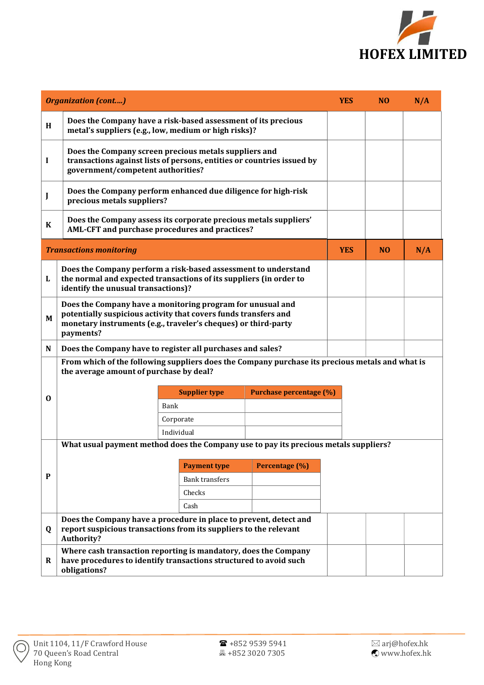

| <b>Organization (cont)</b> |                                                                                                                                                                                                              |                       |                         |     | N <sub>0</sub> | N/A |  |  |
|----------------------------|--------------------------------------------------------------------------------------------------------------------------------------------------------------------------------------------------------------|-----------------------|-------------------------|-----|----------------|-----|--|--|
| H                          | Does the Company have a risk-based assessment of its precious<br>metal's suppliers (e.g., low, medium or high risks)?                                                                                        |                       |                         |     |                |     |  |  |
| I                          | Does the Company screen precious metals suppliers and<br>transactions against lists of persons, entities or countries issued by<br>government/competent authorities?                                         |                       |                         |     |                |     |  |  |
| J                          | Does the Company perform enhanced due diligence for high-risk<br>precious metals suppliers?                                                                                                                  |                       |                         |     |                |     |  |  |
| K                          | Does the Company assess its corporate precious metals suppliers'<br>AML-CFT and purchase procedures and practices?                                                                                           |                       |                         |     |                |     |  |  |
|                            | <b>Transactions monitoring</b>                                                                                                                                                                               | <b>YES</b>            | <b>NO</b>               | N/A |                |     |  |  |
| L                          | Does the Company perform a risk-based assessment to understand<br>the normal and expected transactions of its suppliers (in order to<br>identify the unusual transactions)?                                  |                       |                         |     |                |     |  |  |
| M                          | Does the Company have a monitoring program for unusual and<br>potentially suspicious activity that covers funds transfers and<br>monetary instruments (e.g., traveler's cheques) or third-party<br>payments? |                       |                         |     |                |     |  |  |
| N                          | Does the Company have to register all purchases and sales?                                                                                                                                                   |                       |                         |     |                |     |  |  |
|                            | From which of the following suppliers does the Company purchase its precious metals and what is<br>the average amount of purchase by deal?                                                                   |                       |                         |     |                |     |  |  |
|                            |                                                                                                                                                                                                              | <b>Supplier type</b>  | Purchase percentage (%) |     |                |     |  |  |
| 0                          |                                                                                                                                                                                                              | Bank                  |                         |     |                |     |  |  |
|                            |                                                                                                                                                                                                              | Corporate             |                         |     |                |     |  |  |
|                            |                                                                                                                                                                                                              | Individual            |                         |     |                |     |  |  |
|                            | What usual payment method does the Company use to pay its precious metals suppliers?                                                                                                                         |                       |                         |     |                |     |  |  |
| P                          |                                                                                                                                                                                                              | <b>Payment type</b>   | Percentage (%)          |     |                |     |  |  |
|                            |                                                                                                                                                                                                              | <b>Bank transfers</b> |                         |     |                |     |  |  |
|                            |                                                                                                                                                                                                              | Checks                |                         |     |                |     |  |  |
|                            |                                                                                                                                                                                                              | Cash                  |                         |     |                |     |  |  |
| Q                          | Does the Company have a procedure in place to prevent, detect and<br>report suspicious transactions from its suppliers to the relevant<br>Authority?                                                         |                       |                         |     |                |     |  |  |
| R                          | Where cash transaction reporting is mandatory, does the Company<br>have procedures to identify transactions structured to avoid such<br>obligations?                                                         |                       |                         |     |                |     |  |  |